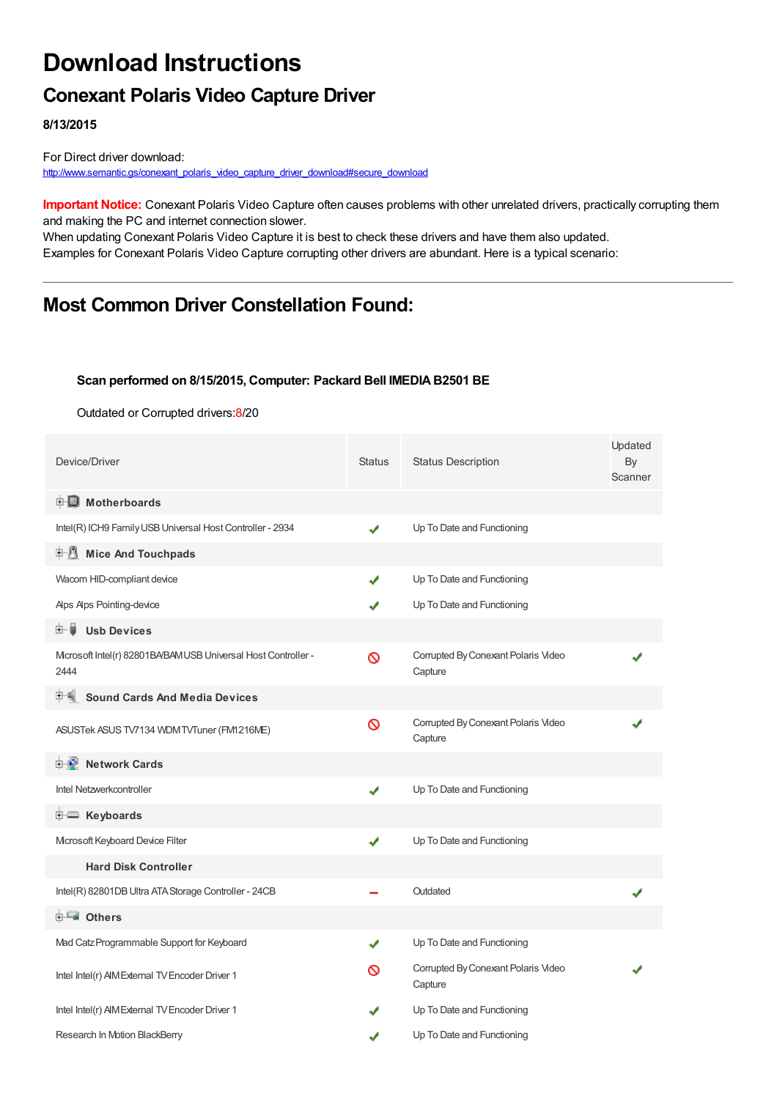## **Download Instructions**

## **Conexant Polaris Video Capture Driver**

**8/13/2015**

For Direct driver download: [http://www.semantic.gs/conexant\\_polaris\\_video\\_capture\\_driver\\_download#secure\\_download](http://www.semantic.gs/conexant_polaris_video_capture_driver_download#secure_download)

**Important Notice:** Conexant Polaris Video Capture often causes problems with other unrelated drivers, practically corrupting them and making the PC and internet connection slower.

When updating Conexant Polaris Video Capture it is best to check these drivers and have them also updated. Examples for Conexant Polaris Video Capture corrupting other drivers are abundant. Here is a typical scenario:

### **Most Common Driver Constellation Found:**

#### **Scan performed on 8/15/2015, Computer: Packard Bell IMEDIAB2501 BE**

Outdated or Corrupted drivers:8/20

| Device/Driver                                                          | <b>Status</b> | <b>Status Description</b>                      | Updated<br>By<br>Scanner |
|------------------------------------------------------------------------|---------------|------------------------------------------------|--------------------------|
| <b>E</b> Motherboards                                                  |               |                                                |                          |
| Intel(R) ICH9 Family USB Universal Host Controller - 2934              | ✔             | Up To Date and Functioning                     |                          |
| <b>E</b> Mice And Touchpads                                            |               |                                                |                          |
| Wacom HID-compliant device                                             | ✔             | Up To Date and Functioning                     |                          |
| Alps Alps Pointing-device                                              |               | Up To Date and Functioning                     |                          |
| <b>Usb Devices</b><br>田一首                                              |               |                                                |                          |
| Microsoft Intel(r) 82801BA/BAM USB Universal Host Controller -<br>2444 | Ø             | Corrupted By Conexant Polaris Video<br>Capture |                          |
| <b>Sound Cards And Media Devices</b>                                   |               |                                                |                          |
| ASUSTek ASUS TV7134 WDM TVTuner (FM1216ME)                             | ଷ             | Corrupted By Conexant Polaris Video<br>Capture |                          |
| <b>Holder</b> Network Cards                                            |               |                                                |                          |
| Intel Netzwerkcontroller                                               | ✔             | Up To Date and Functioning                     |                          |
| <b>E Keyboards</b>                                                     |               |                                                |                          |
| Mcrosoft Keyboard Device Filter                                        | ✔             | Up To Date and Functioning                     |                          |
| <b>Hard Disk Controller</b>                                            |               |                                                |                          |
| Intel(R) 82801DB Ultra ATA Storage Controller - 24CB                   |               | Outdated                                       |                          |
| <b>E</b> Others                                                        |               |                                                |                          |
| Mad Catz Programmable Support for Keyboard                             | ✔             | Up To Date and Functioning                     |                          |
| Intel Intel(r) AIM External TV Encoder Driver 1                        | ര             | Corrupted By Conexant Polaris Video<br>Capture |                          |
| Intel Intel(r) AIM External TV Encoder Driver 1                        |               | Up To Date and Functioning                     |                          |
| Research In Motion BlackBerry                                          | ✔             | Up To Date and Functioning                     |                          |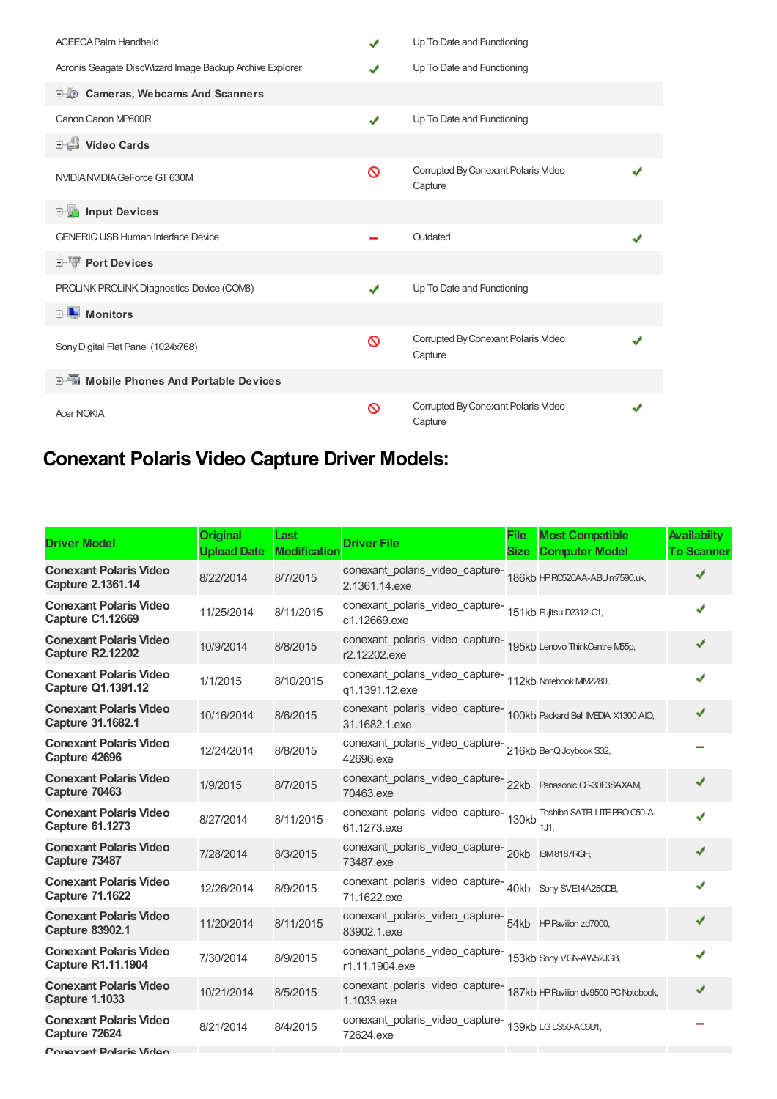| <b>ACEECA Palm Handheld</b>                              | J | Up To Date and Functioning                     |  |
|----------------------------------------------------------|---|------------------------------------------------|--|
| Acronis Seagate DiscWizard Image Backup Archive Explorer |   | Up To Date and Functioning                     |  |
| <b>D</b> Cameras, Webcams And Scanners                   |   |                                                |  |
| Canon Canon MP600R                                       | ✔ | Up To Date and Functioning                     |  |
| <b>Dideo Cards</b>                                       |   |                                                |  |
| NVIDIA NVIDIA GeForce GT 630M                            | Ø | Corrupted By Conexant Polaris Video<br>Capture |  |
| <b>Devices</b> Input Devices                             |   |                                                |  |
| <b>GENERIC USB Human Interface Device</b>                |   | Outdated                                       |  |
| <b>E-17 Port Devices</b>                                 |   |                                                |  |
| PROLINK PROLINK Diagnostics Device (COMB)                | ✔ | Up To Date and Functioning                     |  |
| <b>D</b> Monitors                                        |   |                                                |  |
| Sony Digital Flat Panel (1024x768)                       | Ø | Corrupted By Conexant Polaris Video<br>Capture |  |
| Mobile Phones And Portable Devices                       |   |                                                |  |
| <b>Acer NOKIA</b>                                        | Ø | Corrupted By Conexant Polaris Video<br>Capture |  |

# **Conexant Polaris Video Capture Driver Models:**

| <b>Driver Model</b>                                        | <b>Original</b><br><b>Upload Date</b> | Last<br><b>Modification</b> | <b>Driver File</b>                                                                       | <b>File</b><br><b>Size</b> | <b>Most Compatible</b><br><b>Computer Model</b> | <b>Availabilty</b><br><b>To Scanner</b> |
|------------------------------------------------------------|---------------------------------------|-----------------------------|------------------------------------------------------------------------------------------|----------------------------|-------------------------------------------------|-----------------------------------------|
| <b>Conexant Polaris Video</b><br>Capture 2.1361.14         | 8/22/2014                             | 8/7/2015                    | conexant_polaris_video_capture-<br>186kb HPRC520AA-ABUm7590.uk,<br>2.1361.14.exe         |                            |                                                 | ✔                                       |
| <b>Conexant Polaris Video</b><br><b>Capture C1.12669</b>   | 11/25/2014                            | 8/11/2015                   | conexant_polaris_video_capture-<br>151kb Fujitsu D2312-C1,<br>c1.12669.exe               |                            |                                                 |                                         |
| <b>Conexant Polaris Video</b><br><b>Capture R2.12202</b>   | 10/9/2014                             | 8/8/2015                    | conexant_polaris_video_capture-<br>195kb Lenovo ThinkCentre M55p,<br>r2.12202.exe        |                            |                                                 | ✔                                       |
| <b>Conexant Polaris Video</b><br><b>Capture Q1.1391.12</b> | 1/1/2015                              | 8/10/2015                   | conexant_polaris_video_capture-<br>112kb Notebook MIM2280,<br>q1.1391.12.exe             |                            |                                                 |                                         |
| <b>Conexant Polaris Video</b><br><b>Capture 31.1682.1</b>  | 10/16/2014                            | 8/6/2015                    | conexant_polaris_video_capture-<br>100kb Packard Bell IVEDIA X1300 AIO,<br>31.1682.1.exe |                            |                                                 | ✔                                       |
| <b>Conexant Polaris Video</b><br>Capture 42696             | 12/24/2014                            | 8/8/2015                    | conexant_polaris_video_capture-<br>216kb BenQ Joybook S32,<br>42696.exe                  |                            |                                                 |                                         |
| <b>Conexant Polaris Video</b><br>Capture 70463             | 1/9/2015                              | 8/7/2015                    | conexant_polaris_video_capture-22kb Panasonic CF-30F3SAXAM<br>70463.exe                  |                            |                                                 | ✔                                       |
| <b>Conexant Polaris Video</b><br><b>Capture 61.1273</b>    | 8/27/2014                             | 8/11/2015                   | conexant_polaris_video_capture-<br>130kb<br>61.1273.exe                                  |                            | Toshiba SATELLITE PRO C50-A-<br>1J1.            |                                         |
| <b>Conexant Polaris Video</b><br>Capture 73487             | 7/28/2014                             | 8/3/2015                    | conexant_polaris_video_capture-<br>20kb BM8187RGH<br>73487.exe                           |                            |                                                 |                                         |
| <b>Conexant Polaris Video</b><br><b>Capture 71.1622</b>    | 12/26/2014                            | 8/9/2015                    | conexant_polaris_video_capture-<br>40kb Sony SVE14A25CDB,<br>71.1622.exe                 |                            |                                                 |                                         |
| <b>Conexant Polaris Video</b><br><b>Capture 83902.1</b>    | 11/20/2014                            | 8/11/2015                   | 83902.1.exe                                                                              |                            |                                                 |                                         |
| <b>Conexant Polaris Video</b><br>Capture R1.11.1904        | 7/30/2014                             | 8/9/2015                    | conexant_polaris_video_capture-<br>153kb Sony VGN-AW52JGB,<br>r1.11.1904.exe             |                            |                                                 |                                         |
| <b>Conexant Polaris Video</b><br><b>Capture 1.1033</b>     | 10/21/2014                            | 8/5/2015                    | conexant_polaris_video_capture-<br>187kb +PPavilion dv9500 PC Notebook,<br>1.1033.exe    |                            |                                                 | ✔                                       |
| <b>Conexant Polaris Video</b><br>Capture 72624             | 8/21/2014                             | 8/4/2015                    | conexant_polaris_video_capture-<br>139kb LGLS50-AC6U1,<br>72624.exe                      |                            |                                                 |                                         |
|                                                            |                                       |                             |                                                                                          |                            |                                                 |                                         |

**Conexant Polaris Video**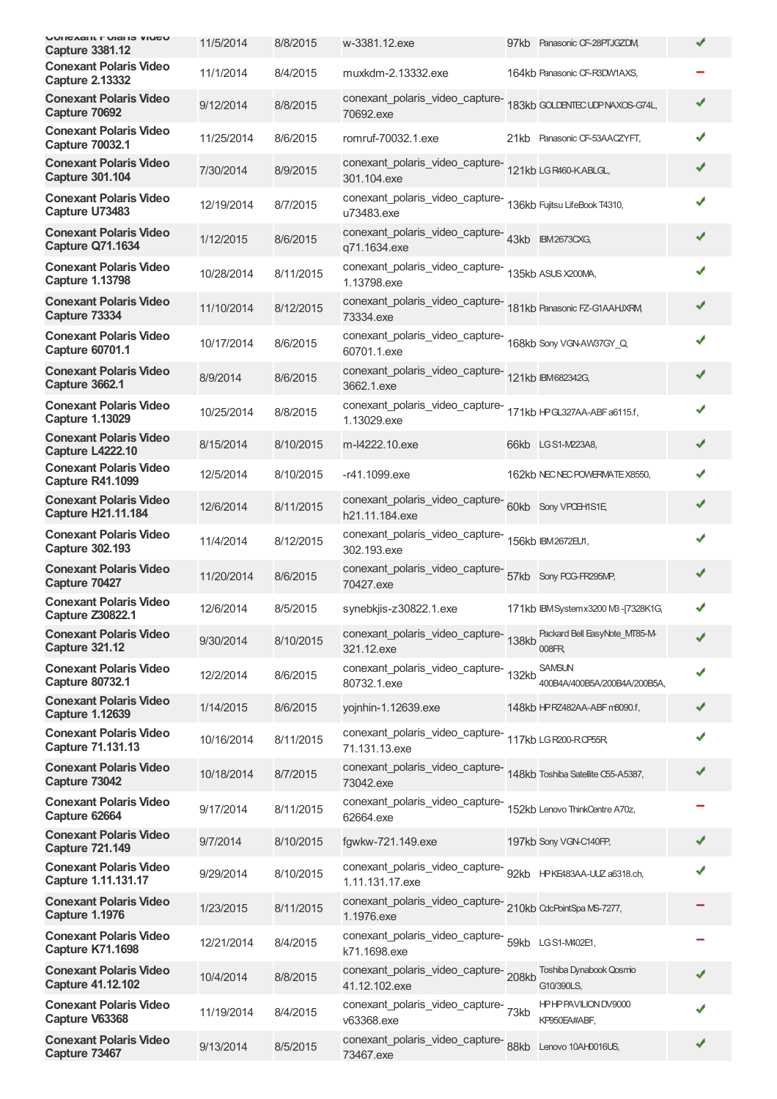| <b>UUIICAAIIL FUIAIIS VIUCU</b><br><b>Capture 3381.12</b>  | 11/5/2014  | 8/8/2015  | w-3381.12.exe                                                                         | 97kb Panasonic CF-28PTJGZDM                   | ✔ |
|------------------------------------------------------------|------------|-----------|---------------------------------------------------------------------------------------|-----------------------------------------------|---|
| <b>Conexant Polaris Video</b><br><b>Capture 2.13332</b>    | 11/1/2014  | 8/4/2015  | muxkdm-2.13332.exe                                                                    | 164kb Panasonic CF-R3DW1AXS,                  |   |
| <b>Conexant Polaris Video</b><br>Capture 70692             | 9/12/2014  | 8/8/2015  | conexant_polaris_video_capture-<br>70692.exe                                          | 183kb GOLDENTEC UDP NAXOS-G74L,               | ✔ |
| <b>Conexant Polaris Video</b><br><b>Capture 70032.1</b>    | 11/25/2014 | 8/6/2015  | romruf-70032.1.exe                                                                    | 21kb Panasonic CF-53AACZYFT,                  | ✔ |
| <b>Conexant Polaris Video</b><br><b>Capture 301.104</b>    | 7/30/2014  | 8/9/2015  | conexant_polaris_video_capture-<br>121kb LGR460-KABLGL,<br>301.104.exe                |                                               |   |
| <b>Conexant Polaris Video</b><br>Capture U73483            | 12/19/2014 | 8/7/2015  | conexant_polaris_video_capture-<br>136kb Fujitsu LifeBook T4310,<br>u73483.exe        |                                               |   |
| <b>Conexant Polaris Video</b><br><b>Capture Q71.1634</b>   | 1/12/2015  | 8/6/2015  | conexant_polaris_video_capture-<br>43kb BM2673CXG,<br>q71.1634.exe                    |                                               |   |
| <b>Conexant Polaris Video</b><br><b>Capture 1.13798</b>    | 10/28/2014 | 8/11/2015 | conexant_polaris_video_capture-<br>135kb ASUS X200MA,<br>1.13798.exe                  |                                               | J |
| <b>Conexant Polaris Video</b><br>Capture 73334             | 11/10/2014 | 8/12/2015 | conexant_polaris_video_capture-181kb Panasonic FZ-G1AAHJXRM<br>73334.exe              |                                               | ✔ |
| <b>Conexant Polaris Video</b><br><b>Capture 60701.1</b>    | 10/17/2014 | 8/6/2015  | conexant_polaris_video_capture-168kb Sony VGNAW37GY_Q<br>60701.1.exe                  |                                               | ✔ |
| <b>Conexant Polaris Video</b><br><b>Capture 3662.1</b>     | 8/9/2014   | 8/6/2015  | conexant_polaris_video_capture-121kb BM682342G,<br>3662.1.exe                         |                                               | ✔ |
| <b>Conexant Polaris Video</b><br><b>Capture 1.13029</b>    | 10/25/2014 | 8/8/2015  | conexant_polaris_video_capture-<br>171kb HP<br>327AA-ABF a6115.f,<br>1.13029.exe      |                                               |   |
| <b>Conexant Polaris Video</b><br><b>Capture L4222.10</b>   | 8/15/2014  | 8/10/2015 | m-l4222.10.exe                                                                        | 66kb LGS1-M223A8,                             | ✔ |
| <b>Conexant Polaris Video</b><br>Capture R41.1099          | 12/5/2014  | 8/10/2015 | -r41.1099.exe                                                                         | 162kb NEC NEC POWERMATE X8550,                |   |
| <b>Conexant Polaris Video</b><br><b>Capture H21.11.184</b> | 12/6/2014  | 8/11/2015 | conexant_polaris_video_capture- 60kb Sony VPCH1S1E<br>h21.11.184.exe                  |                                               |   |
| <b>Conexant Polaris Video</b><br><b>Capture 302.193</b>    | 11/4/2014  | 8/12/2015 | conexant_polaris_video_capture-<br>156kb BM2672EJ1,<br>302.193.exe                    |                                               | ✔ |
| <b>Conexant Polaris Video</b><br>Capture 70427             | 11/20/2014 | 8/6/2015  | conexant_polaris_video_capture- 57kb Sony POG-FR295MP,<br>70427.exe                   |                                               | J |
| <b>Conexant Polaris Video</b><br>Capture Z30822.1          | 12/6/2014  | 8/5/2015  | synebkjis-z30822.1.exe                                                                | 171kb IBMSystemx3200 M3-[7328K1G,             | ✔ |
| <b>Conexant Polaris Video</b><br><b>Capture 321.12</b>     | 9/30/2014  | 8/10/2015 | conexant_polaris_video_capture-138kb<br>321.12.exe                                    | Packard Bell EasyNote_MT85-M-<br>008FR        |   |
| <b>Conexant Polaris Video</b><br><b>Capture 80732.1</b>    | 12/2/2014  | 8/6/2015  | conexant_polaris_video_capture-<br>132kb<br>80732.1.exe                               | <b>SAMSUN</b><br>400B4A/400B5A/200B4A/200B5A, | ✔ |
| <b>Conexant Polaris Video</b><br><b>Capture 1.12639</b>    | 1/14/2015  | 8/6/2015  | yojnhin-1.12639.exe                                                                   | 148kb HP RZ482AA-ABF m8090.f,                 |   |
| <b>Conexant Polaris Video</b><br>Capture 71.131.13         | 10/16/2014 | 8/11/2015 | conexant_polaris_video_capture-<br>117kb LGR200-RCP55R<br>71.131.13.exe               |                                               |   |
| <b>Conexant Polaris Video</b><br>Capture 73042             | 10/18/2014 | 8/7/2015  | conexant_polaris_video_capture-<br>148kb Toshiba Satellite C55-A5387,<br>73042.exe    |                                               |   |
| <b>Conexant Polaris Video</b><br>Capture 62664             | 9/17/2014  | 8/11/2015 | conexant_polaris_video_capture-<br>62664.exe                                          | 152kb Lenovo ThinkCentre A70z,                |   |
| <b>Conexant Polaris Video</b><br><b>Capture 721.149</b>    | 9/7/2014   | 8/10/2015 | fgwkw-721.149.exe                                                                     | 197kb Sony VGN-C140FP,                        |   |
| <b>Conexant Polaris Video</b><br>Capture 1.11.131.17       | 9/29/2014  | 8/10/2015 | conexant_polaris_video_capture-<br>92kb    HPKE483AA-ULZ a6318.ch,<br>1.11.131.17.exe |                                               |   |
| <b>Conexant Polaris Video</b><br><b>Capture 1.1976</b>     | 1/23/2015  | 8/11/2015 | conexant_polaris_video_capture-210kb CdcPointSpa MS-7277,<br>1.1976.exe               |                                               |   |
| <b>Conexant Polaris Video</b><br><b>Capture K71.1698</b>   | 12/21/2014 | 8/4/2015  | conexant_polaris_video_capture-<br>59kb LGS1-M402E1,<br>k71.1698.exe                  |                                               |   |
| <b>Conexant Polaris Video</b><br><b>Capture 41.12.102</b>  | 10/4/2014  | 8/8/2015  | conexant_polaris_video_capture-208kb<br>41.12.102.exe                                 | Toshiba Dynabook Qosmo<br>G10/390LS,          |   |
| <b>Conexant Polaris Video</b><br>Capture V63368            | 11/19/2014 | 8/4/2015  | conexant_polaris_video_capture-73kb<br>v63368.exe                                     | HPHPPAVILION DV9000<br>KP950EA#ABF,           |   |
| <b>Conexant Polaris Video</b><br>Capture 73467             | 9/13/2014  | 8/5/2015  | conexant_polaris_video_capture-88kb<br>73467.exe                                      | Lenovo 10AH0016US,                            |   |